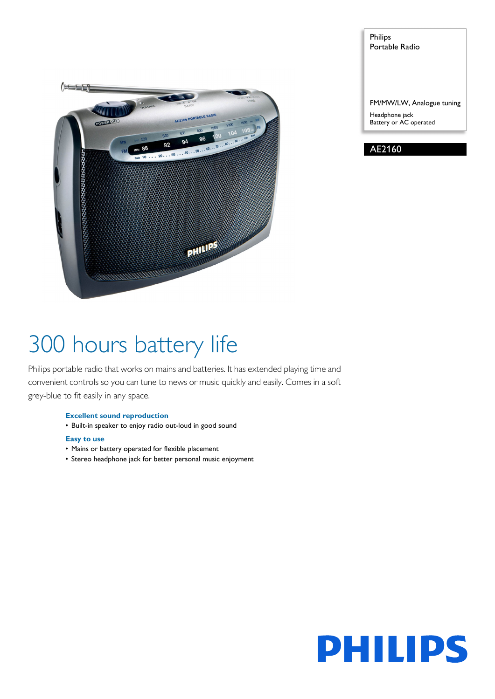

Philips Portable Radio

FM/MW/LW, Analogue tuning Headphone jack Battery or AC operated

AE2160

# 300 hours battery life

Philips portable radio that works on mains and batteries. It has extended playing time and convenient controls so you can tune to news or music quickly and easily. Comes in a soft grey-blue to fit easily in any space.

# **Excellent sound reproduction**

• Built-in speaker to enjoy radio out-loud in good sound

# **Easy to use**

- Mains or battery operated for flexible placement
- Stereo headphone jack for better personal music enjoyment